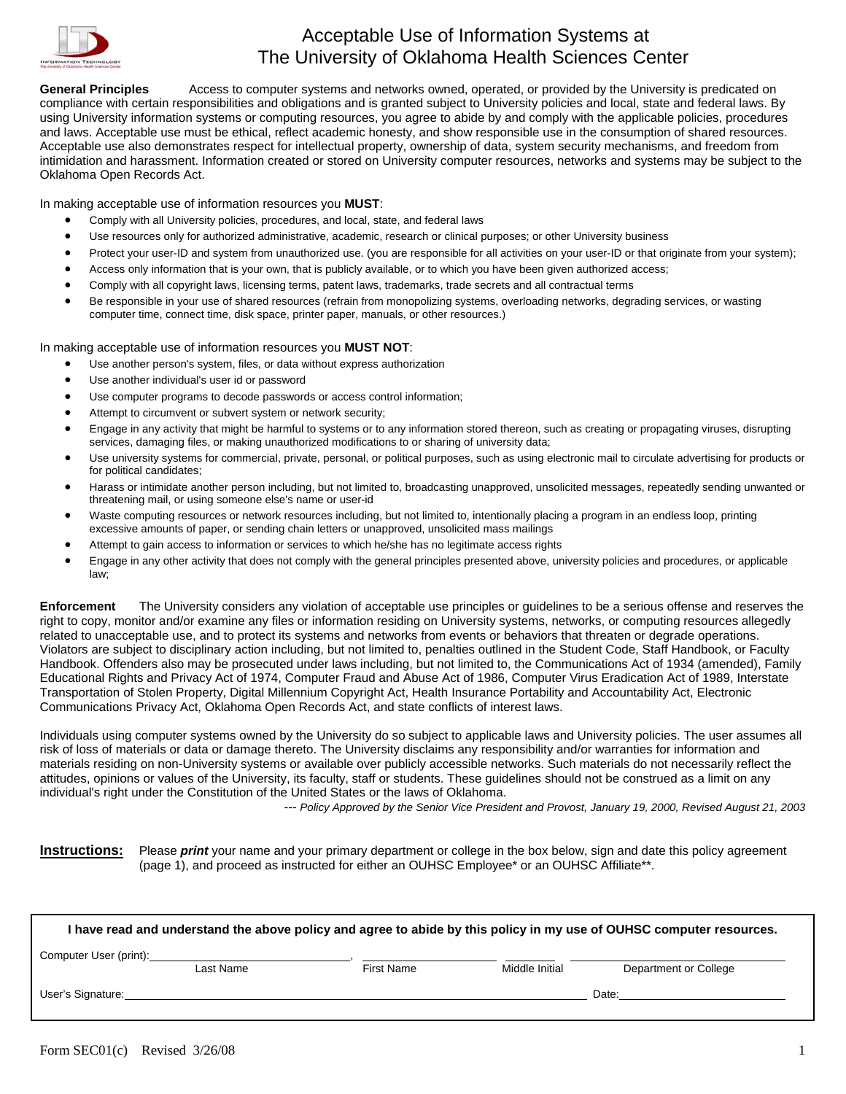

## Acceptable Use of Information Systems at The University of Oklahoma Health Sciences Center

General Principles Access to computer systems and networks owned, operated, or provided by the University is predicated on compliance with certain responsibilities and obligations and is granted subject to University policies and local, state and federal laws. By using University information systems or computing resources, you agree to abide by and comply with the applicable policies, procedures and laws. Acceptable use must be ethical, reflect academic honesty, and show responsible use in the consumption of shared resources. Acceptable use also demonstrates respect for intellectual property, ownership of data, system security mechanisms, and freedom from intimidation and harassment. Information created or stored on University computer resources, networks and systems may be subject to the Oklahoma Open Records Act.

In making acceptable use of information resources you **MUST**:

- Comply with all University policies, procedures, and local, state, and federal laws
- Use resources only for authorized administrative, academic, research or clinical purposes; or other University business
- Protect your user-ID and system from unauthorized use. (you are responsible for all activities on your user-ID or that originate from your system);
- Access only information that is your own, that is publicly available, or to which you have been given authorized access;
- Comply with all copyright laws, licensing terms, patent laws, trademarks, trade secrets and all contractual terms
- Be responsible in your use of shared resources (refrain from monopolizing systems, overloading networks, degrading services, or wasting computer time, connect time, disk space, printer paper, manuals, or other resources.)

In making acceptable use of information resources you **MUST NOT**:

- Use another person's system, files, or data without express authorization
- Use another individual's user id or password
- Use computer programs to decode passwords or access control information;
- Attempt to circumvent or subvert system or network security;
- Engage in any activity that might be harmful to systems or to any information stored thereon, such as creating or propagating viruses, disrupting services, damaging files, or making unauthorized modifications to or sharing of university data;
- Use university systems for commercial, private, personal, or political purposes, such as using electronic mail to circulate advertising for products or for political candidates;
- Harass or intimidate another person including, but not limited to, broadcasting unapproved, unsolicited messages, repeatedly sending unwanted or threatening mail, or using someone else's name or user-id
- Waste computing resources or network resources including, but not limited to, intentionally placing a program in an endless loop, printing excessive amounts of paper, or sending chain letters or unapproved, unsolicited mass mailings
- Attempt to gain access to information or services to which he/she has no legitimate access rights
- Engage in any other activity that does not comply with the general principles presented above, university policies and procedures, or applicable law;

**Enforcement** The University considers any violation of acceptable use principles or guidelines to be a serious offense and reserves the right to copy, monitor and/or examine any files or information residing on University systems, networks, or computing resources allegedly related to unacceptable use, and to protect its systems and networks from events or behaviors that threaten or degrade operations. Violators are subject to disciplinary action including, but not limited to, penalties outlined in the Student Code, Staff Handbook, or Faculty Handbook. Offenders also may be prosecuted under laws including, but not limited to, the Communications Act of 1934 (amended), Family Educational Rights and Privacy Act of 1974, Computer Fraud and Abuse Act of 1986, Computer Virus Eradication Act of 1989, Interstate Transportation of Stolen Property, Digital Millennium Copyright Act, Health Insurance Portability and Accountability Act, Electronic Communications Privacy Act, Oklahoma Open Records Act, and state conflicts of interest laws.

Individuals using computer systems owned by the University do so subject to applicable laws and University policies. The user assumes all risk of loss of materials or data or damage thereto. The University disclaims any responsibility and/or warranties for information and materials residing on non-University systems or available over publicly accessible networks. Such materials do not necessarily reflect the attitudes, opinions or values of the University, its faculty, staff or students. These guidelines should not be construed as a limit on any individual's right under the Constitution of the United States or the laws of Oklahoma.

*--- Policy Approved by the Senior Vice President and Provost, January 19, 2000, Revised August 21, 2003* 

**Instructions:** Please *print* your name and your primary department or college in the box below, sign and date this policy agreement (page 1), and proceed as instructed for either an OUHSC Employee\* or an OUHSC Affiliate\*\*.

| I have read and understand the above policy and agree to abide by this policy in my use of OUHSC computer resources. |           |                   |                |                       |  |  |  |
|----------------------------------------------------------------------------------------------------------------------|-----------|-------------------|----------------|-----------------------|--|--|--|
| Computer User (print):                                                                                               | Last Name | <b>First Name</b> | Middle Initial | Department or College |  |  |  |
| User's Signature:                                                                                                    |           |                   |                | Date:                 |  |  |  |